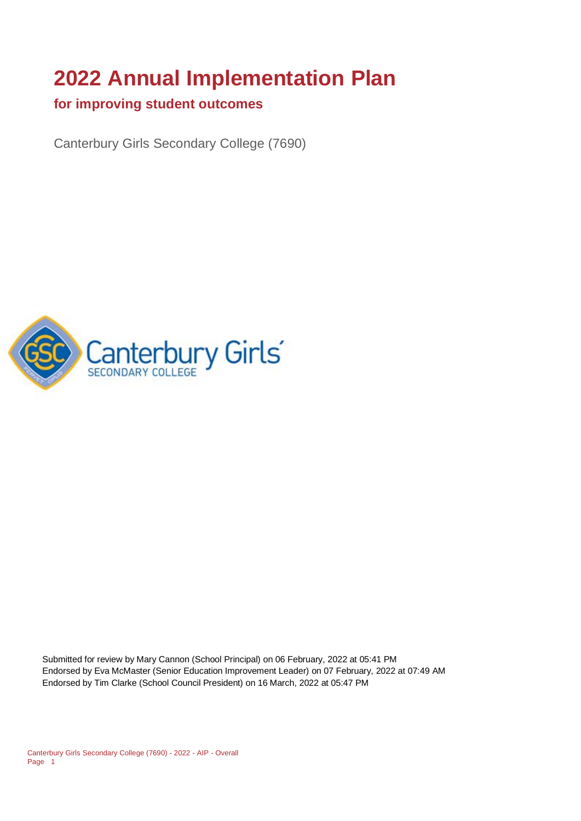# **2022 Annual Implementation Plan**

### **for improving student outcomes**

Canterbury Girls Secondary College (7690)



Submitted for review by Mary Cannon (School Principal) on 06 February, 2022 at 05:41 PM Endorsed by Eva McMaster (Senior Education Improvement Leader) on 07 February, 2022 at 07:49 AM Endorsed by Tim Clarke (School Council President) on 16 March, 2022 at 05:47 PM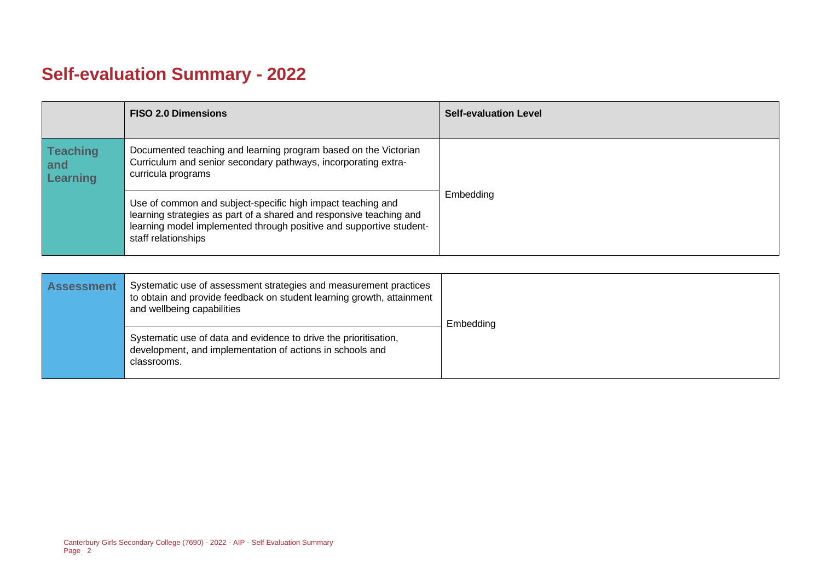# **Self-evaluation Summary - 2022**

|                                           | <b>FISO 2.0 Dimensions</b>                                                                                                                                                                                                       | <b>Self-evaluation Level</b> |
|-------------------------------------------|----------------------------------------------------------------------------------------------------------------------------------------------------------------------------------------------------------------------------------|------------------------------|
| <b>Teaching</b><br>and<br><b>Learning</b> | Documented teaching and learning program based on the Victorian<br>Curriculum and senior secondary pathways, incorporating extra-<br>curricula programs                                                                          | Embedding                    |
|                                           | Use of common and subject-specific high impact teaching and<br>learning strategies as part of a shared and responsive teaching and<br>learning model implemented through positive and supportive student-<br>staff relationships |                              |

| <b>Assessment</b> | Systematic use of assessment strategies and measurement practices<br>to obtain and provide feedback on student learning growth, attainment<br>and wellbeing capabilities | Embedding |
|-------------------|--------------------------------------------------------------------------------------------------------------------------------------------------------------------------|-----------|
|                   | Systematic use of data and evidence to drive the prioritisation,<br>development, and implementation of actions in schools and<br>classrooms.                             |           |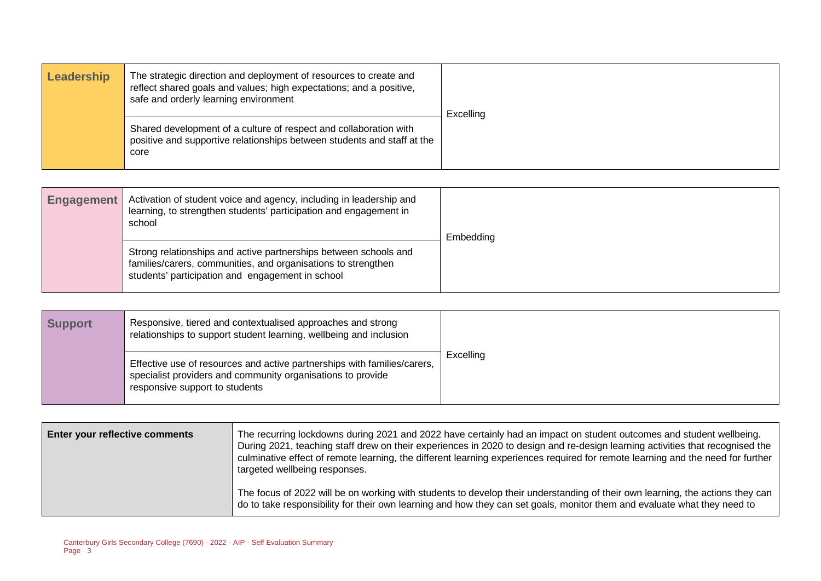| Leadership | The strategic direction and deployment of resources to create and<br>reflect shared goals and values; high expectations; and a positive,<br>safe and orderly learning environment | Excelling |
|------------|-----------------------------------------------------------------------------------------------------------------------------------------------------------------------------------|-----------|
|            | Shared development of a culture of respect and collaboration with<br>positive and supportive relationships between students and staff at the<br>core                              |           |

| <b>Engagement</b> | Activation of student voice and agency, including in leadership and<br>learning, to strengthen students' participation and engagement in<br>school                                    | Embedding |
|-------------------|---------------------------------------------------------------------------------------------------------------------------------------------------------------------------------------|-----------|
|                   | Strong relationships and active partnerships between schools and<br>families/carers, communities, and organisations to strengthen<br>students' participation and engagement in school |           |

| <b>Support</b> | Responsive, tiered and contextualised approaches and strong<br>relationships to support student learning, wellbeing and inclusion                                         |           |
|----------------|---------------------------------------------------------------------------------------------------------------------------------------------------------------------------|-----------|
|                | Effective use of resources and active partnerships with families/carers,<br>specialist providers and community organisations to provide<br>responsive support to students | Excelling |

| Enter your reflective comments | The recurring lockdowns during 2021 and 2022 have certainly had an impact on student outcomes and student wellbeing.<br>During 2021, teaching staff drew on their experiences in 2020 to design and re-design learning activities that recognised the<br>culminative effect of remote learning, the different learning experiences required for remote learning and the need for further<br>targeted wellbeing responses. |
|--------------------------------|---------------------------------------------------------------------------------------------------------------------------------------------------------------------------------------------------------------------------------------------------------------------------------------------------------------------------------------------------------------------------------------------------------------------------|
|                                | The focus of 2022 will be on working with students to develop their understanding of their own learning, the actions they can<br>do to take responsibility for their own learning and how they can set goals, monitor them and evaluate what they need to                                                                                                                                                                 |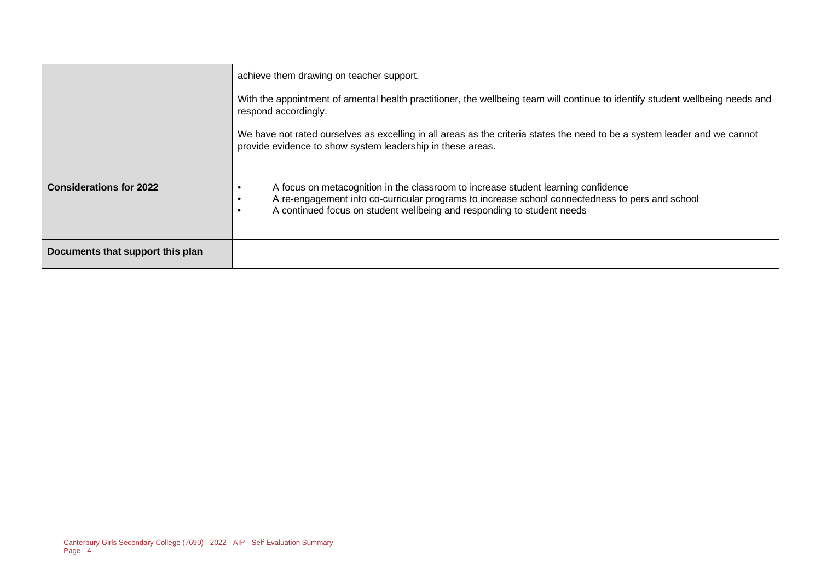|                                  | achieve them drawing on teacher support.<br>With the appointment of amental health practitioner, the wellbeing team will continue to identify student wellbeing needs and<br>respond accordingly.<br>We have not rated ourselves as excelling in all areas as the criteria states the need to be a system leader and we cannot<br>provide evidence to show system leadership in these areas. |  |
|----------------------------------|----------------------------------------------------------------------------------------------------------------------------------------------------------------------------------------------------------------------------------------------------------------------------------------------------------------------------------------------------------------------------------------------|--|
|                                  |                                                                                                                                                                                                                                                                                                                                                                                              |  |
|                                  |                                                                                                                                                                                                                                                                                                                                                                                              |  |
| <b>Considerations for 2022</b>   | A focus on metacognition in the classroom to increase student learning confidence<br>A re-engagement into co-curricular programs to increase school connectedness to pers and school<br>A continued focus on student wellbeing and responding to student needs                                                                                                                               |  |
| Documents that support this plan |                                                                                                                                                                                                                                                                                                                                                                                              |  |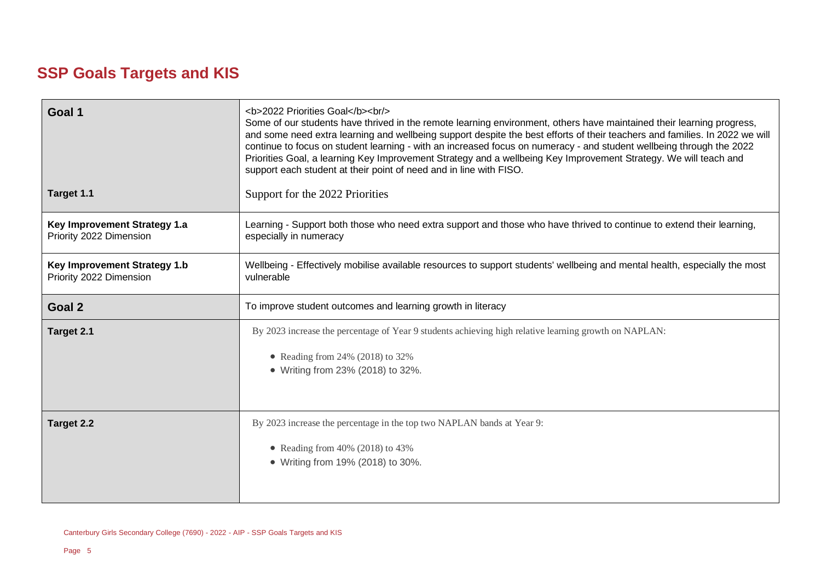# **SSP Goals Targets and KIS**

| Goal 1                                                  | <b>2022 Priorities Goal</b><br><br><br>Some of our students have thrived in the remote learning environment, others have maintained their learning progress,<br>and some need extra learning and wellbeing support despite the best efforts of their teachers and families. In 2022 we will<br>continue to focus on student learning - with an increased focus on numeracy - and student wellbeing through the 2022<br>Priorities Goal, a learning Key Improvement Strategy and a wellbeing Key Improvement Strategy. We will teach and<br>support each student at their point of need and in line with FISO. |  |  |
|---------------------------------------------------------|---------------------------------------------------------------------------------------------------------------------------------------------------------------------------------------------------------------------------------------------------------------------------------------------------------------------------------------------------------------------------------------------------------------------------------------------------------------------------------------------------------------------------------------------------------------------------------------------------------------|--|--|
| Target 1.1                                              | Support for the 2022 Priorities                                                                                                                                                                                                                                                                                                                                                                                                                                                                                                                                                                               |  |  |
| Key Improvement Strategy 1.a<br>Priority 2022 Dimension | Learning - Support both those who need extra support and those who have thrived to continue to extend their learning,<br>especially in numeracy                                                                                                                                                                                                                                                                                                                                                                                                                                                               |  |  |
| Key Improvement Strategy 1.b<br>Priority 2022 Dimension | Wellbeing - Effectively mobilise available resources to support students' wellbeing and mental health, especially the most<br>vulnerable                                                                                                                                                                                                                                                                                                                                                                                                                                                                      |  |  |
| Goal 2                                                  | To improve student outcomes and learning growth in literacy                                                                                                                                                                                                                                                                                                                                                                                                                                                                                                                                                   |  |  |
| Target 2.1                                              | By 2023 increase the percentage of Year 9 students achieving high relative learning growth on NAPLAN:<br>• Reading from 24% (2018) to $32\%$<br>• Writing from 23% (2018) to 32%.                                                                                                                                                                                                                                                                                                                                                                                                                             |  |  |
| <b>Target 2.2</b>                                       | By 2023 increase the percentage in the top two NAPLAN bands at Year 9:<br>• Reading from 40% (2018) to 43%<br>• Writing from 19% (2018) to 30%.                                                                                                                                                                                                                                                                                                                                                                                                                                                               |  |  |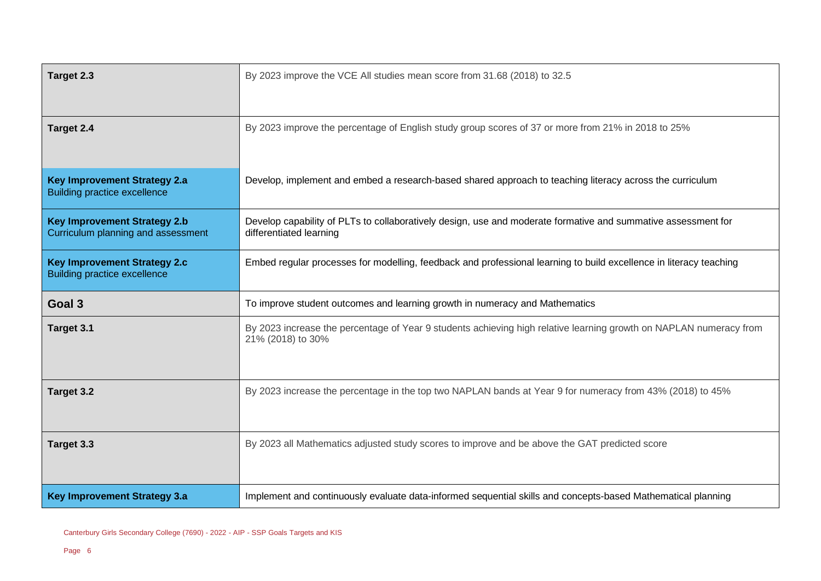| Target 2.3                                                                 | By 2023 improve the VCE All studies mean score from 31.68 (2018) to 32.5                                                                 |  |  |
|----------------------------------------------------------------------------|------------------------------------------------------------------------------------------------------------------------------------------|--|--|
| Target 2.4                                                                 | By 2023 improve the percentage of English study group scores of 37 or more from 21% in 2018 to 25%                                       |  |  |
| <b>Key Improvement Strategy 2.a</b><br><b>Building practice excellence</b> | Develop, implement and embed a research-based shared approach to teaching literacy across the curriculum                                 |  |  |
| <b>Key Improvement Strategy 2.b</b><br>Curriculum planning and assessment  | Develop capability of PLTs to collaboratively design, use and moderate formative and summative assessment for<br>differentiated learning |  |  |
| <b>Key Improvement Strategy 2.c</b><br><b>Building practice excellence</b> | Embed regular processes for modelling, feedback and professional learning to build excellence in literacy teaching                       |  |  |
|                                                                            | To improve student outcomes and learning growth in numeracy and Mathematics                                                              |  |  |
| Goal 3                                                                     |                                                                                                                                          |  |  |
| Target 3.1                                                                 | By 2023 increase the percentage of Year 9 students achieving high relative learning growth on NAPLAN numeracy from<br>21% (2018) to 30%  |  |  |
| Target 3.2                                                                 | By 2023 increase the percentage in the top two NAPLAN bands at Year 9 for numeracy from 43% (2018) to 45%                                |  |  |
| Target 3.3                                                                 | By 2023 all Mathematics adjusted study scores to improve and be above the GAT predicted score                                            |  |  |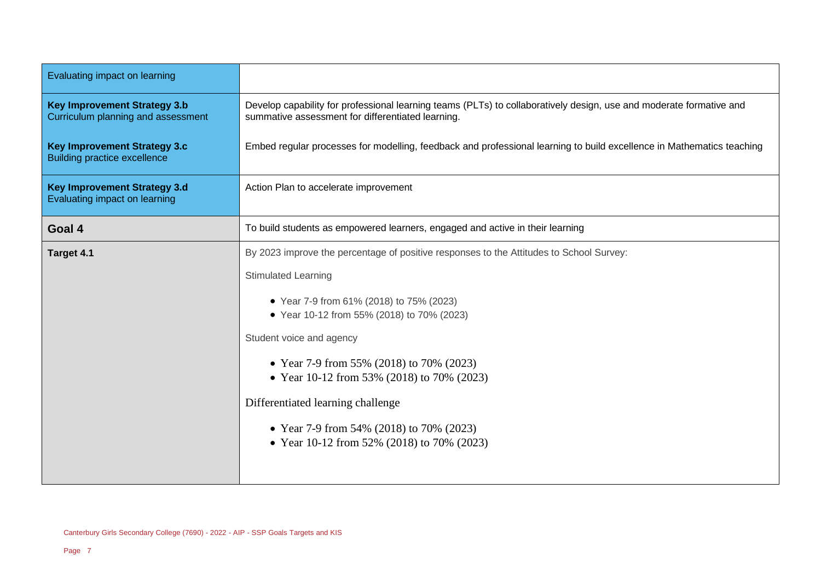| Evaluating impact on learning                                              |                                                                                                                                                                                                                                                                                                                                                                                                                                                                      |  |
|----------------------------------------------------------------------------|----------------------------------------------------------------------------------------------------------------------------------------------------------------------------------------------------------------------------------------------------------------------------------------------------------------------------------------------------------------------------------------------------------------------------------------------------------------------|--|
| <b>Key Improvement Strategy 3.b</b><br>Curriculum planning and assessment  | Develop capability for professional learning teams (PLTs) to collaboratively design, use and moderate formative and<br>summative assessment for differentiated learning.                                                                                                                                                                                                                                                                                             |  |
| <b>Key Improvement Strategy 3.c</b><br><b>Building practice excellence</b> | Embed regular processes for modelling, feedback and professional learning to build excellence in Mathematics teaching                                                                                                                                                                                                                                                                                                                                                |  |
| Key Improvement Strategy 3.d<br>Evaluating impact on learning              | Action Plan to accelerate improvement                                                                                                                                                                                                                                                                                                                                                                                                                                |  |
| Goal 4                                                                     | To build students as empowered learners, engaged and active in their learning                                                                                                                                                                                                                                                                                                                                                                                        |  |
| Target 4.1                                                                 | By 2023 improve the percentage of positive responses to the Attitudes to School Survey:<br><b>Stimulated Learning</b><br>• Year 7-9 from 61% (2018) to 75% (2023)<br>• Year 10-12 from 55% (2018) to 70% (2023)<br>Student voice and agency<br>• Year 7-9 from 55% (2018) to 70% (2023)<br>• Year 10-12 from 53% (2018) to 70% (2023)<br>Differentiated learning challenge<br>• Year 7-9 from 54% (2018) to 70% (2023)<br>• Year 10-12 from 52% (2018) to 70% (2023) |  |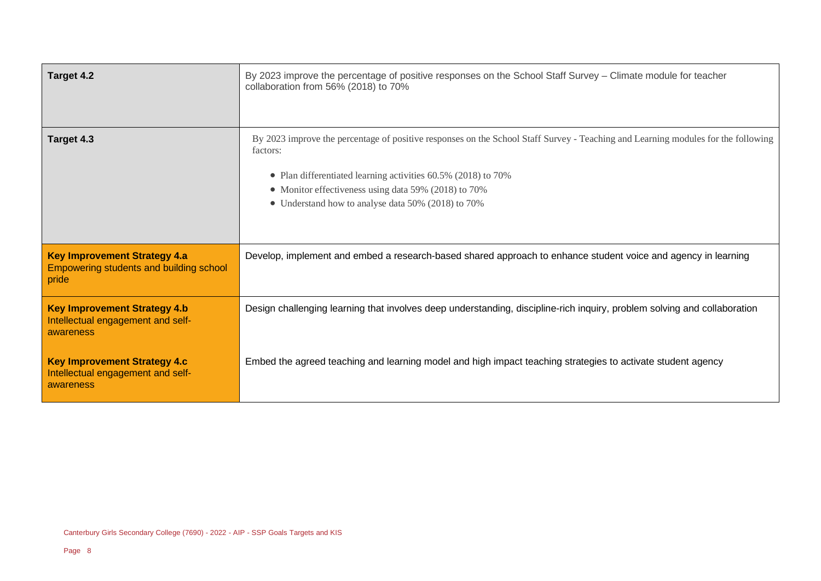| <b>Target 4.2</b>                                                                       | By 2023 improve the percentage of positive responses on the School Staff Survey – Climate module for teacher<br>collaboration from 56% (2018) to 70%                                                                                                                                                                         |
|-----------------------------------------------------------------------------------------|------------------------------------------------------------------------------------------------------------------------------------------------------------------------------------------------------------------------------------------------------------------------------------------------------------------------------|
| Target 4.3                                                                              | By 2023 improve the percentage of positive responses on the School Staff Survey - Teaching and Learning modules for the following<br>factors:<br>• Plan differentiated learning activities 60.5% (2018) to 70%<br>• Monitor effectiveness using data 59% (2018) to 70%<br>• Understand how to analyse data 50% (2018) to 70% |
| <b>Key Improvement Strategy 4.a</b><br>Empowering students and building school<br>pride | Develop, implement and embed a research-based shared approach to enhance student voice and agency in learning                                                                                                                                                                                                                |
| <b>Key Improvement Strategy 4.b</b><br>Intellectual engagement and self-<br>awareness   | Design challenging learning that involves deep understanding, discipline-rich inquiry, problem solving and collaboration                                                                                                                                                                                                     |
| <b>Key Improvement Strategy 4.c</b><br>Intellectual engagement and self-<br>awareness   | Embed the agreed teaching and learning model and high impact teaching strategies to activate student agency                                                                                                                                                                                                                  |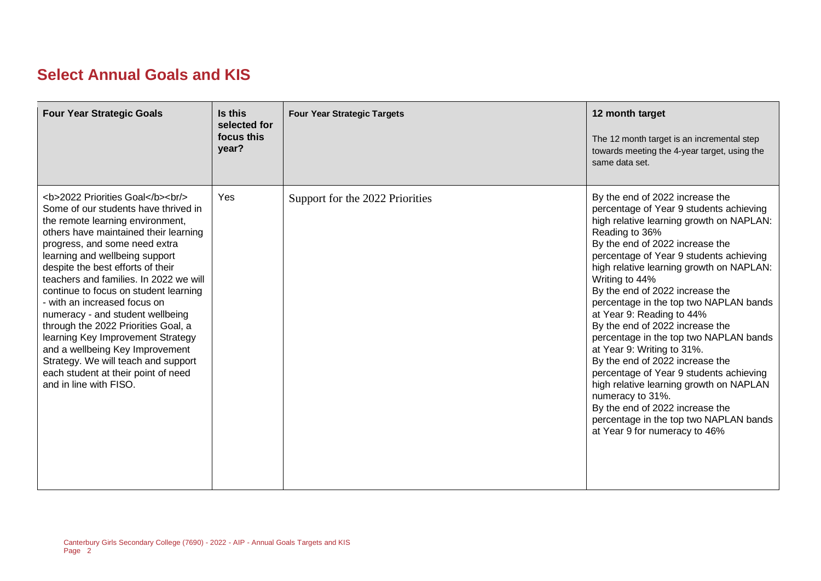# **Select Annual Goals and KIS**

| <b>Four Year Strategic Goals</b>                                                                                                                                                              | Is this<br>selected for<br>focus this<br>year? | <b>Four Year Strategic Targets</b> | 12 month target<br>The 12 month target is an incremental step<br>towards meeting the 4-year target, using the<br>same data set.                                                                                                                                                                                                                                                                                                                                                                                                                                                                                                                                                                                                                                      |
|-----------------------------------------------------------------------------------------------------------------------------------------------------------------------------------------------|------------------------------------------------|------------------------------------|----------------------------------------------------------------------------------------------------------------------------------------------------------------------------------------------------------------------------------------------------------------------------------------------------------------------------------------------------------------------------------------------------------------------------------------------------------------------------------------------------------------------------------------------------------------------------------------------------------------------------------------------------------------------------------------------------------------------------------------------------------------------|
| <b>2022 Priorities Goal</b><br><br><br>Some of our students have thrived in<br>the remote learning environment,<br>others have maintained their learning<br>progress, and some need extra<br> | Yes                                            | Support for the 2022 Priorities    | By the end of 2022 increase the<br>percentage of Year 9 students achieving<br>high relative learning growth on NAPLAN:<br>Reading to 36%<br>By the end of 2022 increase the<br>percentage of Year 9 students achieving<br>high relative learning growth on NAPLAN:<br>Writing to 44%<br>By the end of 2022 increase the<br>percentage in the top two NAPLAN bands<br>at Year 9: Reading to 44%<br>By the end of 2022 increase the<br>percentage in the top two NAPLAN bands<br>at Year 9: Writing to 31%.<br>By the end of 2022 increase the<br>percentage of Year 9 students achieving<br>high relative learning growth on NAPLAN<br>numeracy to 31%.<br>By the end of 2022 increase the<br>percentage in the top two NAPLAN bands<br>at Year 9 for numeracy to 46% |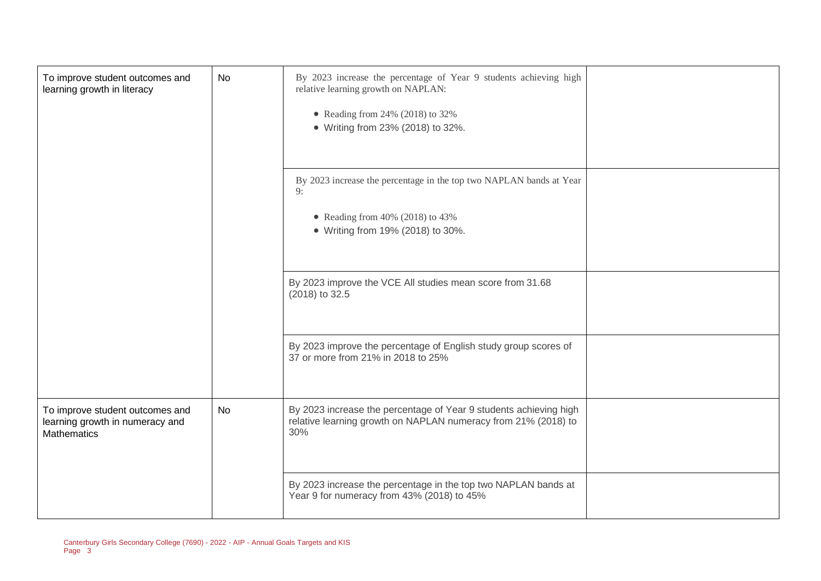| To improve student outcomes and<br><b>No</b><br>learning growth in literacy              |           | By 2023 increase the percentage of Year 9 students achieving high<br>relative learning growth on NAPLAN:<br>• Reading from 24% (2018) to 32%<br>• Writing from 23% (2018) to 32%. |  |
|------------------------------------------------------------------------------------------|-----------|-----------------------------------------------------------------------------------------------------------------------------------------------------------------------------------|--|
|                                                                                          |           | By 2023 increase the percentage in the top two NAPLAN bands at Year<br>9:<br>• Reading from 40% (2018) to 43%<br>• Writing from 19% (2018) to 30%.                                |  |
|                                                                                          |           | By 2023 improve the VCE All studies mean score from 31.68<br>(2018) to 32.5                                                                                                       |  |
|                                                                                          |           | By 2023 improve the percentage of English study group scores of<br>37 or more from 21% in 2018 to 25%                                                                             |  |
| To improve student outcomes and<br>learning growth in numeracy and<br><b>Mathematics</b> | <b>No</b> | By 2023 increase the percentage of Year 9 students achieving high<br>relative learning growth on NAPLAN numeracy from 21% (2018) to<br>30%                                        |  |
|                                                                                          |           | By 2023 increase the percentage in the top two NAPLAN bands at<br>Year 9 for numeracy from 43% (2018) to 45%                                                                      |  |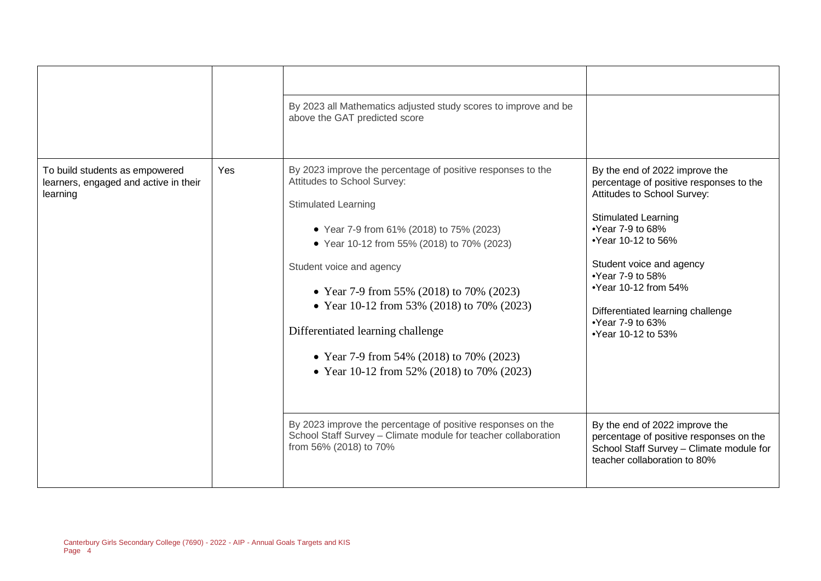| By 2023 improve the percentage of positive responses to the<br>Yes<br>By the end of 2022 improve the<br>To build students as empowered<br>Attitudes to School Survey:<br>percentage of positive responses to the<br>learners, engaged and active in their<br>Attitudes to School Survey:<br>learning<br><b>Stimulated Learning</b><br><b>Stimulated Learning</b><br>•Year 7-9 to 68%<br>• Year 7-9 from 61% (2018) to 75% (2023)<br>•Year 10-12 to 56%<br>• Year 10-12 from 55% (2018) to 70% (2023)<br>Student voice and agency<br>Student voice and agency<br>•Year 7-9 to 58%<br>•Year 10-12 from 54%<br>• Year 7-9 from 55% (2018) to 70% (2023)<br>• Year 10-12 from 53% (2018) to 70% (2023)<br>Differentiated learning challenge<br>•Year 7-9 to 63%<br>Differentiated learning challenge<br>•Year 10-12 to 53%<br>• Year 7-9 from 54% (2018) to 70% (2023)<br>• Year 10-12 from 52% (2018) to 70% (2023)<br>By 2023 improve the percentage of positive responses on the<br>By the end of 2022 improve the<br>School Staff Survey - Climate module for teacher collaboration<br>percentage of positive responses on the<br>from 56% (2018) to 70%<br>School Staff Survey - Climate module for<br>teacher collaboration to 80% |  | By 2023 all Mathematics adjusted study scores to improve and be<br>above the GAT predicted score |  |
|--------------------------------------------------------------------------------------------------------------------------------------------------------------------------------------------------------------------------------------------------------------------------------------------------------------------------------------------------------------------------------------------------------------------------------------------------------------------------------------------------------------------------------------------------------------------------------------------------------------------------------------------------------------------------------------------------------------------------------------------------------------------------------------------------------------------------------------------------------------------------------------------------------------------------------------------------------------------------------------------------------------------------------------------------------------------------------------------------------------------------------------------------------------------------------------------------------------------------------------|--|--------------------------------------------------------------------------------------------------|--|
|                                                                                                                                                                                                                                                                                                                                                                                                                                                                                                                                                                                                                                                                                                                                                                                                                                                                                                                                                                                                                                                                                                                                                                                                                                      |  |                                                                                                  |  |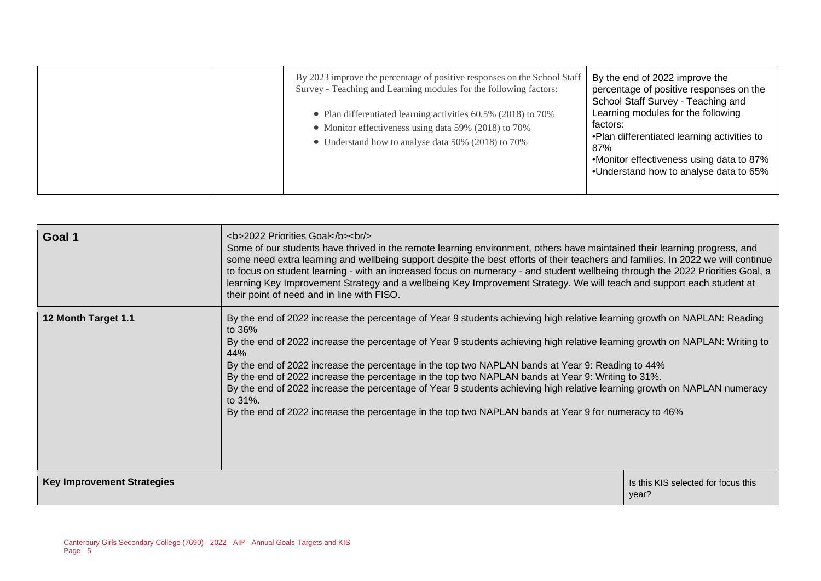| Goal 1                            | <b>2022 Priorities Goal</b><br><br><br>Some of our students have thrived in the remote learning environment, others have maintained their learning progress, and<br>some need extra learning and wellbeing support despite the best efforts of their teachers and families. In 2022 we will continue<br>to focus on student learning - with an increased focus on numeracy - and student wellbeing through the 2022 Priorities Goal, a<br>learning Key Improvement Strategy and a wellbeing Key Improvement Strategy. We will teach and support each student at<br>their point of need and in line with FISO.                                                                                                                           |                                              |  |  |
|-----------------------------------|-----------------------------------------------------------------------------------------------------------------------------------------------------------------------------------------------------------------------------------------------------------------------------------------------------------------------------------------------------------------------------------------------------------------------------------------------------------------------------------------------------------------------------------------------------------------------------------------------------------------------------------------------------------------------------------------------------------------------------------------|----------------------------------------------|--|--|
| 12 Month Target 1.1               | By the end of 2022 increase the percentage of Year 9 students achieving high relative learning growth on NAPLAN: Reading<br>to $36\%$<br>By the end of 2022 increase the percentage of Year 9 students achieving high relative learning growth on NAPLAN: Writing to<br>44%<br>By the end of 2022 increase the percentage in the top two NAPLAN bands at Year 9: Reading to 44%<br>By the end of 2022 increase the percentage in the top two NAPLAN bands at Year 9: Writing to 31%.<br>By the end of 2022 increase the percentage of Year 9 students achieving high relative learning growth on NAPLAN numeracy<br>to $31\%$ .<br>By the end of 2022 increase the percentage in the top two NAPLAN bands at Year 9 for numeracy to 46% |                                              |  |  |
| <b>Key Improvement Strategies</b> |                                                                                                                                                                                                                                                                                                                                                                                                                                                                                                                                                                                                                                                                                                                                         | Is this KIS selected for focus this<br>year? |  |  |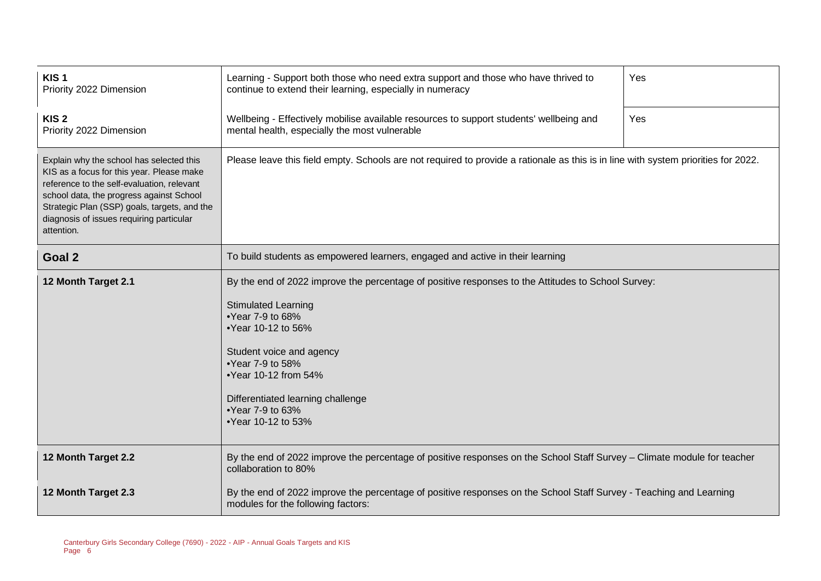| KIS <sub>1</sub><br>Priority 2022 Dimension                                                                                                                                                                                                                                               | Learning - Support both those who need extra support and those who have thrived to<br>Yes<br>continue to extend their learning, especially in numeracy                                                                                                                                                                            |     |  |  |
|-------------------------------------------------------------------------------------------------------------------------------------------------------------------------------------------------------------------------------------------------------------------------------------------|-----------------------------------------------------------------------------------------------------------------------------------------------------------------------------------------------------------------------------------------------------------------------------------------------------------------------------------|-----|--|--|
| KIS <sub>2</sub><br>Priority 2022 Dimension                                                                                                                                                                                                                                               | Wellbeing - Effectively mobilise available resources to support students' wellbeing and<br>mental health, especially the most vulnerable                                                                                                                                                                                          | Yes |  |  |
| Explain why the school has selected this<br>KIS as a focus for this year. Please make<br>reference to the self-evaluation, relevant<br>school data, the progress against School<br>Strategic Plan (SSP) goals, targets, and the<br>diagnosis of issues requiring particular<br>attention. | Please leave this field empty. Schools are not required to provide a rationale as this is in line with system priorities for 2022.                                                                                                                                                                                                |     |  |  |
| Goal 2                                                                                                                                                                                                                                                                                    | To build students as empowered learners, engaged and active in their learning                                                                                                                                                                                                                                                     |     |  |  |
| 12 Month Target 2.1                                                                                                                                                                                                                                                                       | By the end of 2022 improve the percentage of positive responses to the Attitudes to School Survey:<br><b>Stimulated Learning</b><br>•Year 7-9 to 68%<br>•Year 10-12 to 56%<br>Student voice and agency<br>•Year 7-9 to 58%<br>•Year 10-12 from 54%<br>Differentiated learning challenge<br>•Year 7-9 to 63%<br>•Year 10-12 to 53% |     |  |  |
| 12 Month Target 2.2                                                                                                                                                                                                                                                                       | By the end of 2022 improve the percentage of positive responses on the School Staff Survey - Climate module for teacher<br>collaboration to 80%                                                                                                                                                                                   |     |  |  |
| 12 Month Target 2.3                                                                                                                                                                                                                                                                       | By the end of 2022 improve the percentage of positive responses on the School Staff Survey - Teaching and Learning<br>modules for the following factors:                                                                                                                                                                          |     |  |  |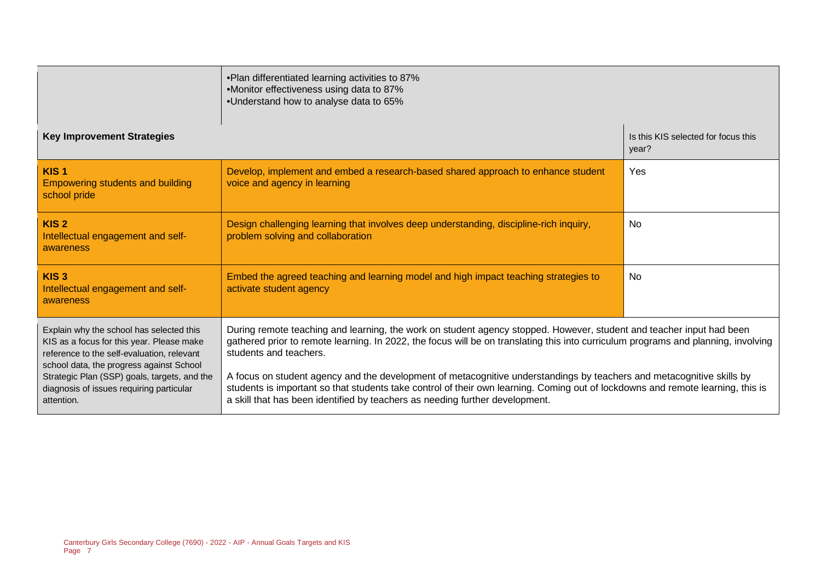|                                                                                                                                                                                                                                                                                           | . Plan differentiated learning activities to 87%<br>•Monitor effectiveness using data to 87%<br>•Understand how to analyse data to 65%                                                                                                                                                                                                                                                                                                                                                                                                                                                                                           |                                              |  |  |
|-------------------------------------------------------------------------------------------------------------------------------------------------------------------------------------------------------------------------------------------------------------------------------------------|----------------------------------------------------------------------------------------------------------------------------------------------------------------------------------------------------------------------------------------------------------------------------------------------------------------------------------------------------------------------------------------------------------------------------------------------------------------------------------------------------------------------------------------------------------------------------------------------------------------------------------|----------------------------------------------|--|--|
| <b>Key Improvement Strategies</b>                                                                                                                                                                                                                                                         |                                                                                                                                                                                                                                                                                                                                                                                                                                                                                                                                                                                                                                  | Is this KIS selected for focus this<br>year? |  |  |
| KIS <sub>1</sub><br><b>Empowering students and building</b><br>school pride                                                                                                                                                                                                               | Develop, implement and embed a research-based shared approach to enhance student<br>voice and agency in learning                                                                                                                                                                                                                                                                                                                                                                                                                                                                                                                 | Yes                                          |  |  |
| KIS <sub>2</sub><br>Intellectual engagement and self-<br>awareness                                                                                                                                                                                                                        | Design challenging learning that involves deep understanding, discipline-rich inquiry,<br>problem solving and collaboration                                                                                                                                                                                                                                                                                                                                                                                                                                                                                                      | No.                                          |  |  |
| KIS <sub>3</sub><br>Intellectual engagement and self-<br>awareness                                                                                                                                                                                                                        | Embed the agreed teaching and learning model and high impact teaching strategies to<br>activate student agency                                                                                                                                                                                                                                                                                                                                                                                                                                                                                                                   | No                                           |  |  |
| Explain why the school has selected this<br>KIS as a focus for this year. Please make<br>reference to the self-evaluation, relevant<br>school data, the progress against School<br>Strategic Plan (SSP) goals, targets, and the<br>diagnosis of issues requiring particular<br>attention. | During remote teaching and learning, the work on student agency stopped. However, student and teacher input had been<br>gathered prior to remote learning. In 2022, the focus will be on translating this into curriculum programs and planning, involving<br>students and teachers.<br>A focus on student agency and the development of metacognitive understandings by teachers and metacognitive skills by<br>students is important so that students take control of their own learning. Coming out of lockdowns and remote learning, this is<br>a skill that has been identified by teachers as needing further development. |                                              |  |  |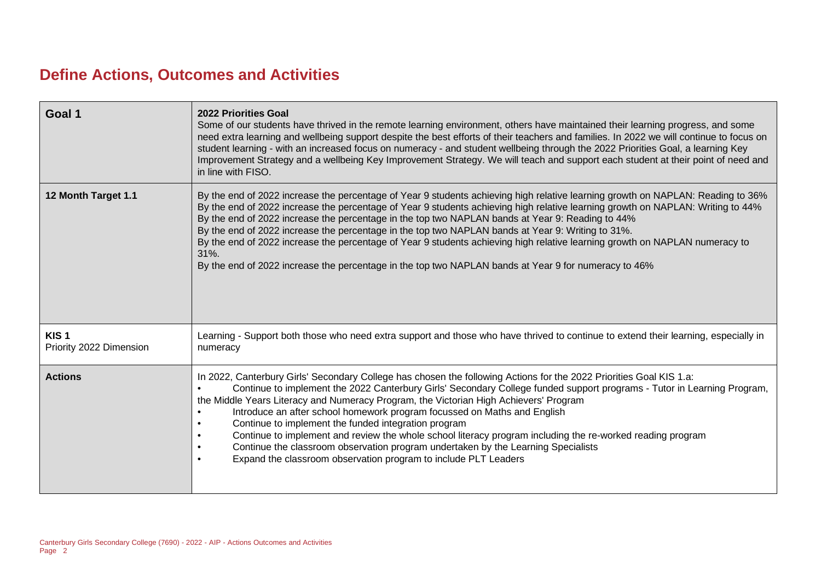# **Define Actions, Outcomes and Activities**

| Goal 1                                      | <b>2022 Priorities Goal</b><br>Some of our students have thrived in the remote learning environment, others have maintained their learning progress, and some<br>need extra learning and wellbeing support despite the best efforts of their teachers and families. In 2022 we will continue to focus on<br>student learning - with an increased focus on numeracy - and student wellbeing through the 2022 Priorities Goal, a learning Key<br>Improvement Strategy and a wellbeing Key Improvement Strategy. We will teach and support each student at their point of need and<br>in line with FISO.                                                                                                                                             |
|---------------------------------------------|---------------------------------------------------------------------------------------------------------------------------------------------------------------------------------------------------------------------------------------------------------------------------------------------------------------------------------------------------------------------------------------------------------------------------------------------------------------------------------------------------------------------------------------------------------------------------------------------------------------------------------------------------------------------------------------------------------------------------------------------------|
| 12 Month Target 1.1                         | By the end of 2022 increase the percentage of Year 9 students achieving high relative learning growth on NAPLAN: Reading to 36%<br>By the end of 2022 increase the percentage of Year 9 students achieving high relative learning growth on NAPLAN: Writing to 44%<br>By the end of 2022 increase the percentage in the top two NAPLAN bands at Year 9: Reading to 44%<br>By the end of 2022 increase the percentage in the top two NAPLAN bands at Year 9: Writing to 31%.<br>By the end of 2022 increase the percentage of Year 9 students achieving high relative learning growth on NAPLAN numeracy to<br>31%.<br>By the end of 2022 increase the percentage in the top two NAPLAN bands at Year 9 for numeracy to 46%                        |
| KIS <sub>1</sub><br>Priority 2022 Dimension | Learning - Support both those who need extra support and those who have thrived to continue to extend their learning, especially in<br>numeracy                                                                                                                                                                                                                                                                                                                                                                                                                                                                                                                                                                                                   |
| <b>Actions</b>                              | In 2022, Canterbury Girls' Secondary College has chosen the following Actions for the 2022 Priorities Goal KIS 1.a:<br>Continue to implement the 2022 Canterbury Girls' Secondary College funded support programs - Tutor in Learning Program,<br>the Middle Years Literacy and Numeracy Program, the Victorian High Achievers' Program<br>Introduce an after school homework program focussed on Maths and English<br>Continue to implement the funded integration program<br>Continue to implement and review the whole school literacy program including the re-worked reading program<br>Continue the classroom observation program undertaken by the Learning Specialists<br>Expand the classroom observation program to include PLT Leaders |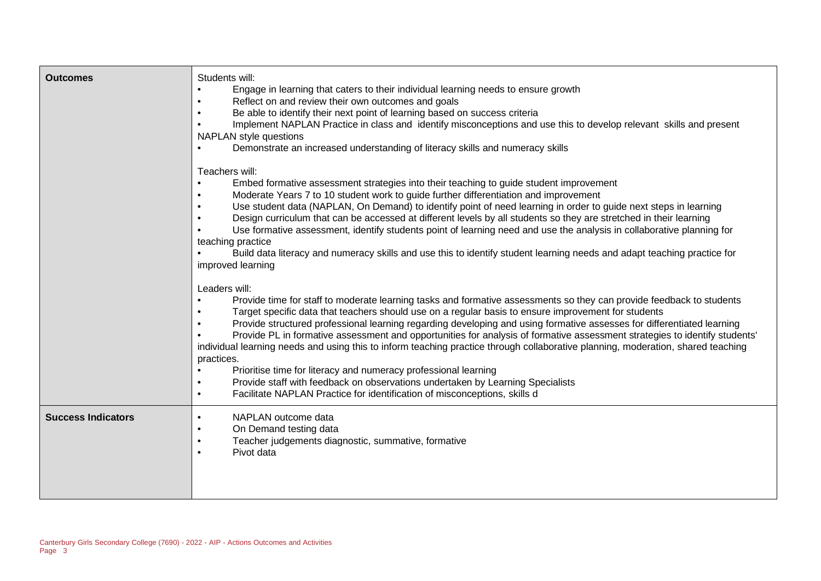| <b>Outcomes</b>           | Students will:<br>Engage in learning that caters to their individual learning needs to ensure growth<br>Reflect on and review their own outcomes and goals<br>Be able to identify their next point of learning based on success criteria<br>Implement NAPLAN Practice in class and identify misconceptions and use this to develop relevant skills and present<br><b>NAPLAN</b> style questions<br>Demonstrate an increased understanding of literacy skills and numeracy skills                                                                                                                                                                                                                                                                                                                                                                                                                      |
|---------------------------|-------------------------------------------------------------------------------------------------------------------------------------------------------------------------------------------------------------------------------------------------------------------------------------------------------------------------------------------------------------------------------------------------------------------------------------------------------------------------------------------------------------------------------------------------------------------------------------------------------------------------------------------------------------------------------------------------------------------------------------------------------------------------------------------------------------------------------------------------------------------------------------------------------|
|                           | Teachers will:<br>Embed formative assessment strategies into their teaching to guide student improvement<br>Moderate Years 7 to 10 student work to guide further differentiation and improvement<br>Use student data (NAPLAN, On Demand) to identify point of need learning in order to guide next steps in learning<br>Design curriculum that can be accessed at different levels by all students so they are stretched in their learning<br>Use formative assessment, identify students point of learning need and use the analysis in collaborative planning for<br>teaching practice<br>Build data literacy and numeracy skills and use this to identify student learning needs and adapt teaching practice for<br>improved learning                                                                                                                                                              |
|                           | Leaders will:<br>Provide time for staff to moderate learning tasks and formative assessments so they can provide feedback to students<br>Target specific data that teachers should use on a regular basis to ensure improvement for students<br>Provide structured professional learning regarding developing and using formative assesses for differentiated learning<br>Provide PL in formative assessment and opportunities for analysis of formative assessment strategies to identify students'<br>individual learning needs and using this to inform teaching practice through collaborative planning, moderation, shared teaching<br>practices.<br>Prioritise time for literacy and numeracy professional learning<br>Provide staff with feedback on observations undertaken by Learning Specialists<br>Facilitate NAPLAN Practice for identification of misconceptions, skills d<br>$\bullet$ |
| <b>Success Indicators</b> | NAPLAN outcome data<br>$\bullet$<br>On Demand testing data<br>Teacher judgements diagnostic, summative, formative<br>Pivot data<br>$\bullet$                                                                                                                                                                                                                                                                                                                                                                                                                                                                                                                                                                                                                                                                                                                                                          |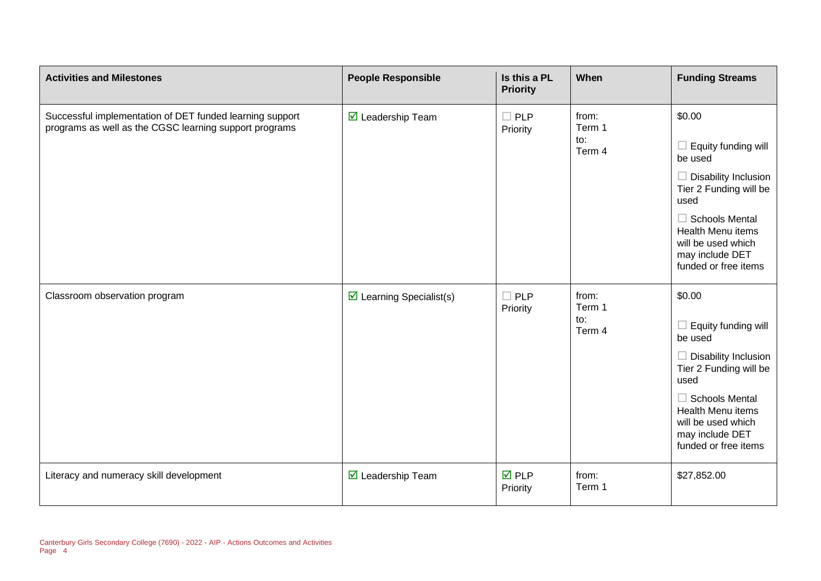| <b>Activities and Milestones</b>                                                                                   | <b>People Responsible</b>               | Is this a PL<br><b>Priority</b> | When                             | <b>Funding Streams</b>                                                                                                                                                                                            |
|--------------------------------------------------------------------------------------------------------------------|-----------------------------------------|---------------------------------|----------------------------------|-------------------------------------------------------------------------------------------------------------------------------------------------------------------------------------------------------------------|
| Successful implementation of DET funded learning support<br>programs as well as the CGSC learning support programs | $\overline{\mathbf{y}}$ Leadership Team | $\square$ PLP<br>Priority       | from:<br>Term 1<br>to:<br>Term 4 | \$0.00<br>Equity funding will<br>be used<br>Disability Inclusion<br>Tier 2 Funding will be<br>used<br>$\Box$ Schools Mental<br>Health Menu items<br>will be used which<br>may include DET<br>funded or free items |
| Classroom observation program                                                                                      | $\triangleright$ Learning Specialist(s) | $\Box$ PLP<br>Priority          | from:<br>Term 1<br>to:<br>Term 4 | \$0.00<br>Equity funding will<br>be used<br>Disability Inclusion<br>Tier 2 Funding will be<br>used<br><b>Schools Mental</b><br>Health Menu items<br>will be used which<br>may include DET<br>funded or free items |
| Literacy and numeracy skill development                                                                            | $\triangledown$ Leadership Team         | <b>ØPLP</b><br>Priority         | from:<br>Term 1                  | \$27,852.00                                                                                                                                                                                                       |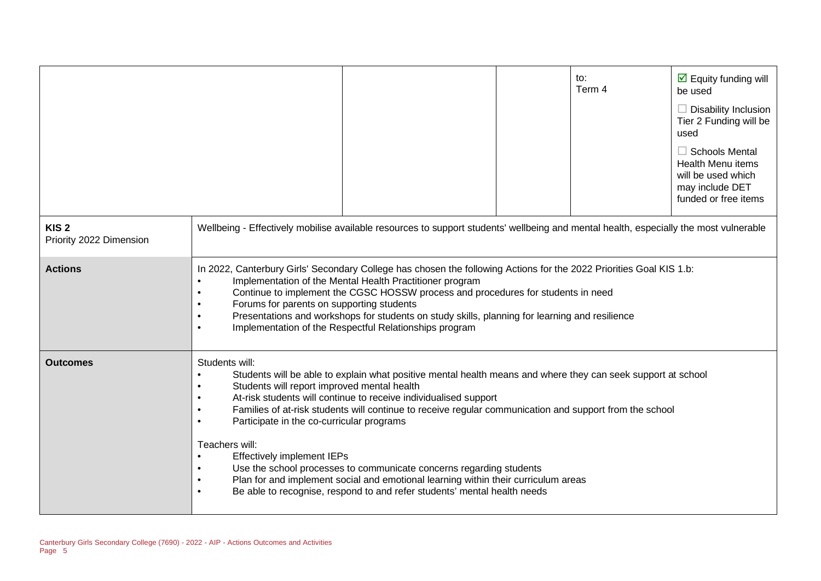|                                             |                                                                                                                                                                                                                                                                                                                                                                                                                                                                                           |                                                                                                                                                                                                                                                                                                                                                                                                                                                                                                                                      |  | to:<br>Term 4 | $\overline{\mathbf{M}}$ Equity funding will<br>be used<br>$\Box$ Disability Inclusion<br>Tier 2 Funding will be<br>used<br>$\Box$ Schools Mental<br><b>Health Menu items</b><br>will be used which<br>may include DET<br>funded or free items |
|---------------------------------------------|-------------------------------------------------------------------------------------------------------------------------------------------------------------------------------------------------------------------------------------------------------------------------------------------------------------------------------------------------------------------------------------------------------------------------------------------------------------------------------------------|--------------------------------------------------------------------------------------------------------------------------------------------------------------------------------------------------------------------------------------------------------------------------------------------------------------------------------------------------------------------------------------------------------------------------------------------------------------------------------------------------------------------------------------|--|---------------|-----------------------------------------------------------------------------------------------------------------------------------------------------------------------------------------------------------------------------------------------|
| KIS <sub>2</sub><br>Priority 2022 Dimension |                                                                                                                                                                                                                                                                                                                                                                                                                                                                                           | Wellbeing - Effectively mobilise available resources to support students' wellbeing and mental health, especially the most vulnerable                                                                                                                                                                                                                                                                                                                                                                                                |  |               |                                                                                                                                                                                                                                               |
| <b>Actions</b>                              | In 2022, Canterbury Girls' Secondary College has chosen the following Actions for the 2022 Priorities Goal KIS 1.b:<br>Implementation of the Mental Health Practitioner program<br>Continue to implement the CGSC HOSSW process and procedures for students in need<br>Forums for parents on supporting students<br>Presentations and workshops for students on study skills, planning for learning and resilience<br>Implementation of the Respectful Relationships program<br>$\bullet$ |                                                                                                                                                                                                                                                                                                                                                                                                                                                                                                                                      |  |               |                                                                                                                                                                                                                                               |
| <b>Outcomes</b>                             | Students will:<br>Students will report improved mental health<br>Participate in the co-curricular programs<br>Teachers will:<br><b>Effectively implement IEPs</b>                                                                                                                                                                                                                                                                                                                         | Students will be able to explain what positive mental health means and where they can seek support at school<br>At-risk students will continue to receive individualised support<br>Families of at-risk students will continue to receive regular communication and support from the school<br>Use the school processes to communicate concerns regarding students<br>Plan for and implement social and emotional learning within their curriculum areas<br>Be able to recognise, respond to and refer students' mental health needs |  |               |                                                                                                                                                                                                                                               |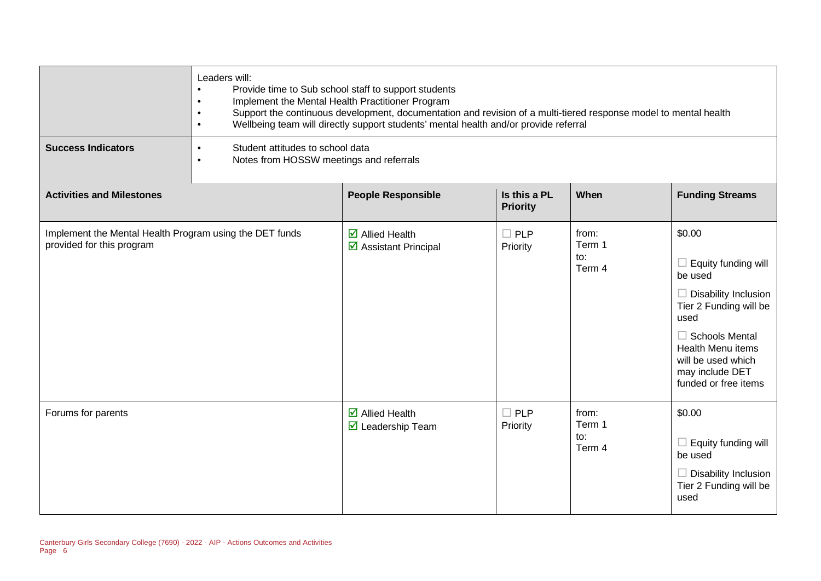|                                                                                      | Leaders will:<br>Provide time to Sub school staff to support students<br>Implement the Mental Health Practitioner Program<br>$\bullet$<br>Support the continuous development, documentation and revision of a multi-tiered response model to mental health<br>$\bullet$<br>Wellbeing team will directly support students' mental health and/or provide referral<br>$\bullet$ |                                                                                  |                                 |                                  |                                                                                                                                                                                                                                 |
|--------------------------------------------------------------------------------------|------------------------------------------------------------------------------------------------------------------------------------------------------------------------------------------------------------------------------------------------------------------------------------------------------------------------------------------------------------------------------|----------------------------------------------------------------------------------|---------------------------------|----------------------------------|---------------------------------------------------------------------------------------------------------------------------------------------------------------------------------------------------------------------------------|
| <b>Success Indicators</b>                                                            | $\bullet$<br>$\bullet$                                                                                                                                                                                                                                                                                                                                                       | Student attitudes to school data<br>Notes from HOSSW meetings and referrals      |                                 |                                  |                                                                                                                                                                                                                                 |
| <b>Activities and Milestones</b>                                                     |                                                                                                                                                                                                                                                                                                                                                                              | <b>People Responsible</b>                                                        | Is this a PL<br><b>Priority</b> | When                             | <b>Funding Streams</b>                                                                                                                                                                                                          |
| Implement the Mental Health Program using the DET funds<br>provided for this program |                                                                                                                                                                                                                                                                                                                                                                              | $\overline{\mathbf{z}}$ Allied Health<br>☑ Assistant Principal                   | $\square$ PLP<br>Priority       | from:<br>Term 1<br>to:<br>Term 4 | \$0.00<br>$\Box$ Equity funding will<br>be used<br>Disability Inclusion<br>Tier 2 Funding will be<br>used<br>$\Box$ Schools Mental<br><b>Health Menu items</b><br>will be used which<br>may include DET<br>funded or free items |
| Forums for parents                                                                   |                                                                                                                                                                                                                                                                                                                                                                              | $\overline{\mathbf{Z}}$ Allied Health<br>$\overline{\mathbf{M}}$ Leadership Team | $\Box$ PLP<br>Priority          | from:<br>Term 1<br>to:<br>Term 4 | \$0.00<br>$\Box$ Equity funding will<br>be used<br>Disability Inclusion<br>Tier 2 Funding will be<br>used                                                                                                                       |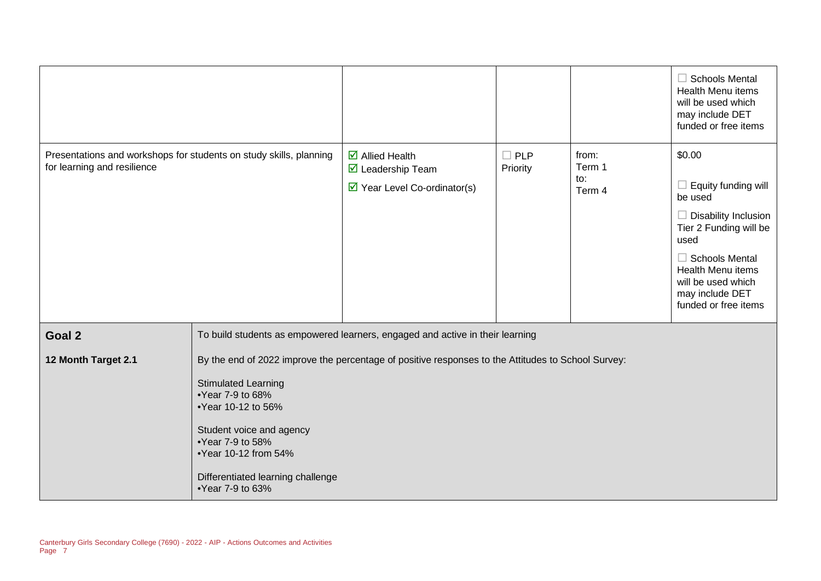|                                                                                                   |                                                                                                                                                                                                                                                                                                             |                                                                                                                         |                        |                                  | $\Box$ Schools Mental<br><b>Health Menu items</b><br>will be used which<br>may include DET<br>funded or free items                                                                                                              |
|---------------------------------------------------------------------------------------------------|-------------------------------------------------------------------------------------------------------------------------------------------------------------------------------------------------------------------------------------------------------------------------------------------------------------|-------------------------------------------------------------------------------------------------------------------------|------------------------|----------------------------------|---------------------------------------------------------------------------------------------------------------------------------------------------------------------------------------------------------------------------------|
| Presentations and workshops for students on study skills, planning<br>for learning and resilience |                                                                                                                                                                                                                                                                                                             | $\overline{\mathbf{z}}$ Allied Health<br>$\triangleright$ Leadership Team<br>$\triangledown$ Year Level Co-ordinator(s) | $\Box$ PLP<br>Priority | from:<br>Term 1<br>to:<br>Term 4 | \$0.00<br>Equity funding will<br>be used<br>$\Box$ Disability Inclusion<br>Tier 2 Funding will be<br>used<br>$\Box$ Schools Mental<br><b>Health Menu items</b><br>will be used which<br>may include DET<br>funded or free items |
| Goal 2                                                                                            |                                                                                                                                                                                                                                                                                                             | To build students as empowered learners, engaged and active in their learning                                           |                        |                                  |                                                                                                                                                                                                                                 |
| 12 Month Target 2.1                                                                               | By the end of 2022 improve the percentage of positive responses to the Attitudes to School Survey:<br><b>Stimulated Learning</b><br>•Year 7-9 to 68%<br>•Year 10-12 to 56%<br>Student voice and agency<br>•Year 7-9 to 58%<br>•Year 10-12 from 54%<br>Differentiated learning challenge<br>•Year 7-9 to 63% |                                                                                                                         |                        |                                  |                                                                                                                                                                                                                                 |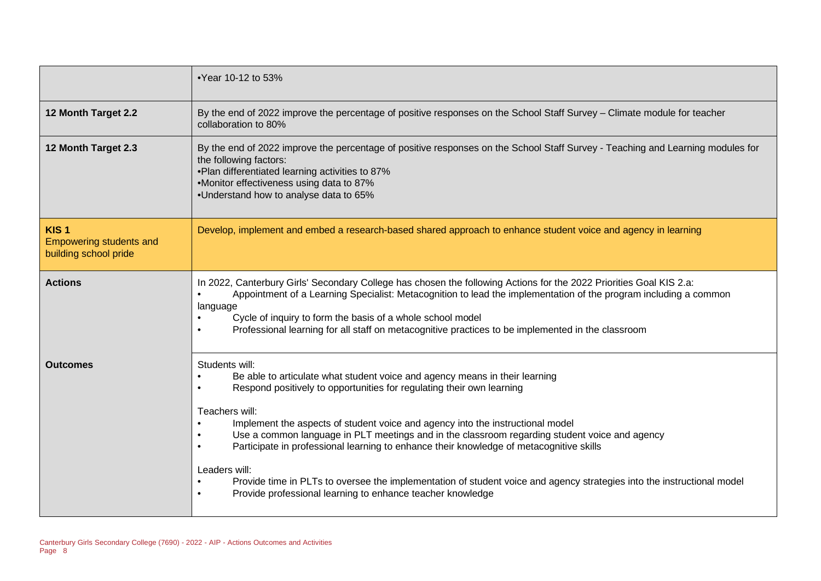|                                                                             | •Year 10-12 to 53%                                                                                                                                                                                                                                                                                                                                                                                                                                                                                                                                                                                                                                                              |
|-----------------------------------------------------------------------------|---------------------------------------------------------------------------------------------------------------------------------------------------------------------------------------------------------------------------------------------------------------------------------------------------------------------------------------------------------------------------------------------------------------------------------------------------------------------------------------------------------------------------------------------------------------------------------------------------------------------------------------------------------------------------------|
| 12 Month Target 2.2                                                         | By the end of 2022 improve the percentage of positive responses on the School Staff Survey - Climate module for teacher<br>collaboration to 80%                                                                                                                                                                                                                                                                                                                                                                                                                                                                                                                                 |
| 12 Month Target 2.3                                                         | By the end of 2022 improve the percentage of positive responses on the School Staff Survey - Teaching and Learning modules for<br>the following factors:<br>.Plan differentiated learning activities to 87%<br>•Monitor effectiveness using data to 87%<br>•Understand how to analyse data to 65%                                                                                                                                                                                                                                                                                                                                                                               |
| KIS <sub>1</sub><br><b>Empowering students and</b><br>building school pride | Develop, implement and embed a research-based shared approach to enhance student voice and agency in learning                                                                                                                                                                                                                                                                                                                                                                                                                                                                                                                                                                   |
| <b>Actions</b>                                                              | In 2022, Canterbury Girls' Secondary College has chosen the following Actions for the 2022 Priorities Goal KIS 2.a:<br>Appointment of a Learning Specialist: Metacognition to lead the implementation of the program including a common<br>language<br>Cycle of inquiry to form the basis of a whole school model<br>Professional learning for all staff on metacognitive practices to be implemented in the classroom                                                                                                                                                                                                                                                          |
| <b>Outcomes</b>                                                             | Students will:<br>Be able to articulate what student voice and agency means in their learning<br>Respond positively to opportunities for regulating their own learning<br>Teachers will:<br>Implement the aspects of student voice and agency into the instructional model<br>Use a common language in PLT meetings and in the classroom regarding student voice and agency<br>Participate in professional learning to enhance their knowledge of metacognitive skills<br>Leaders will:<br>Provide time in PLTs to oversee the implementation of student voice and agency strategies into the instructional model<br>Provide professional learning to enhance teacher knowledge |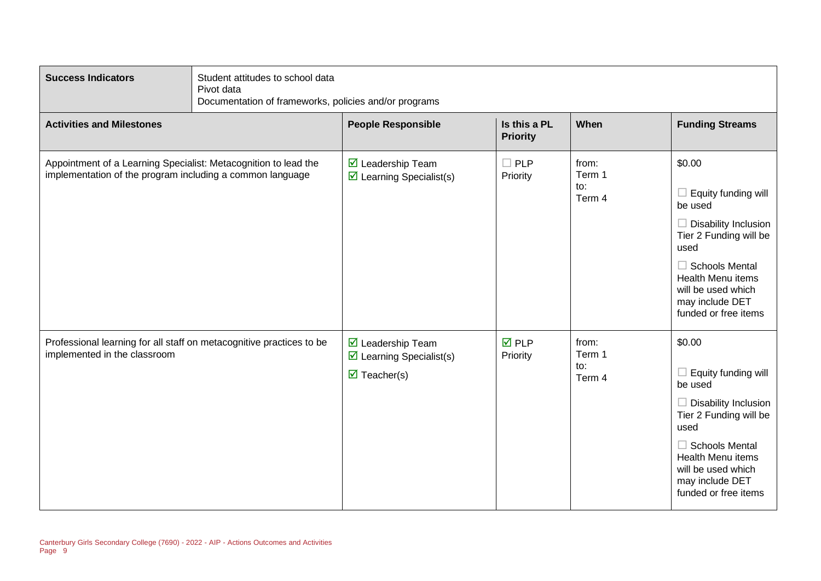| <b>Success Indicators</b>                                                                                                    | Student attitudes to school data<br>Pivot data<br>Documentation of frameworks, policies and/or programs |                                                                                                                  |                                 |                                  |                                                                                                                                                                                                                          |
|------------------------------------------------------------------------------------------------------------------------------|---------------------------------------------------------------------------------------------------------|------------------------------------------------------------------------------------------------------------------|---------------------------------|----------------------------------|--------------------------------------------------------------------------------------------------------------------------------------------------------------------------------------------------------------------------|
| <b>Activities and Milestones</b>                                                                                             |                                                                                                         | <b>People Responsible</b>                                                                                        | Is this a PL<br><b>Priority</b> | When                             | <b>Funding Streams</b>                                                                                                                                                                                                   |
| Appointment of a Learning Specialist: Metacognition to lead the<br>implementation of the program including a common language |                                                                                                         | $\triangledown$ Leadership Team<br>$\triangleright$ Learning Specialist(s)                                       | $\square$ PLP<br>Priority       | from:<br>Term 1<br>to:<br>Term 4 | \$0.00<br>Equity funding will<br>be used<br><b>Disability Inclusion</b><br>Tier 2 Funding will be<br>used<br><b>Schools Mental</b><br>Health Menu items<br>will be used which<br>may include DET<br>funded or free items |
| Professional learning for all staff on metacognitive practices to be<br>implemented in the classroom                         |                                                                                                         | $\triangledown$ Leadership Team<br>$\triangleright$ Learning Specialist(s)<br>$\overline{\mathbf{M}}$ Teacher(s) | $\overline{M}$ PLP<br>Priority  | from:<br>Term 1<br>to:<br>Term 4 | \$0.00<br>Equity funding will<br>be used<br><b>Disability Inclusion</b><br>Tier 2 Funding will be<br>used<br><b>Schools Mental</b><br>Health Menu items<br>will be used which<br>may include DET<br>funded or free items |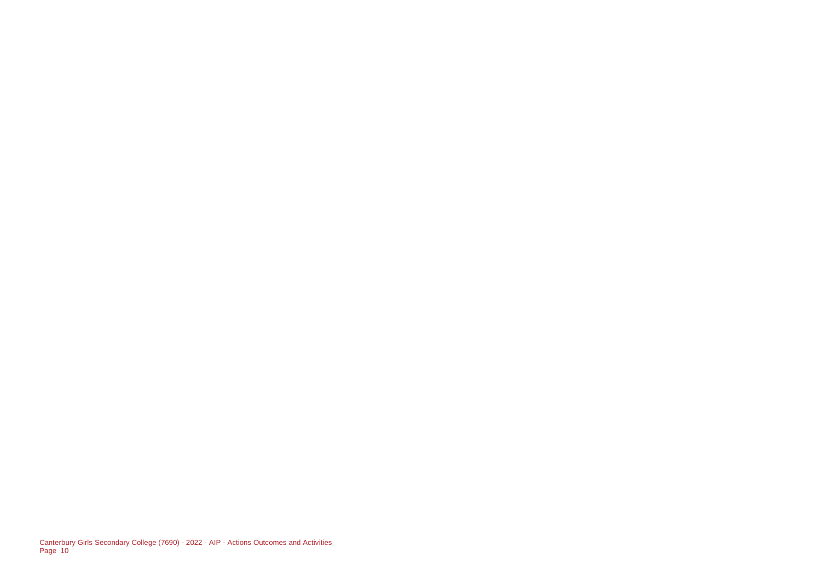Canterbury Girls Secondary College (7690) - 2022 - AIP - Actions Outcomes and Activities Page 10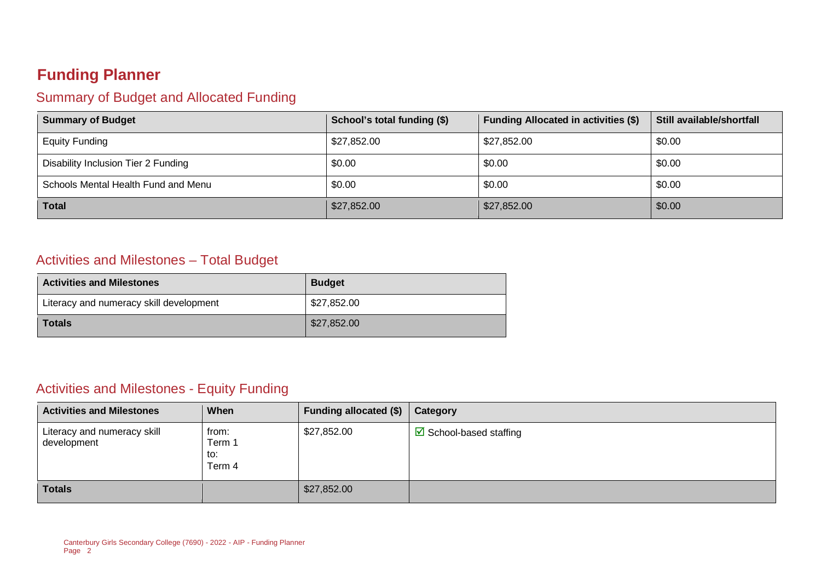# **Funding Planner**

### Summary of Budget and Allocated Funding

| <b>Summary of Budget</b>            | School's total funding (\$) | <b>Funding Allocated in activities (\$)</b> | Still available/shortfall |
|-------------------------------------|-----------------------------|---------------------------------------------|---------------------------|
| <b>Equity Funding</b>               | \$27,852.00                 | \$27,852.00                                 | \$0.00                    |
| Disability Inclusion Tier 2 Funding | \$0.00                      | \$0.00                                      | \$0.00                    |
| Schools Mental Health Fund and Menu | \$0.00                      | \$0.00                                      | \$0.00                    |
| <b>Total</b>                        | \$27,852.00                 | \$27,852.00                                 | \$0.00                    |

### Activities and Milestones – Total Budget

| <b>Activities and Milestones</b>        | <b>Budget</b> |
|-----------------------------------------|---------------|
| Literacy and numeracy skill development | \$27,852.00   |
| <b>Totals</b>                           | \$27,852.00   |

### Activities and Milestones - Equity Funding

| <b>Activities and Milestones</b>           | When                             | Funding allocated (\$) | Category                          |
|--------------------------------------------|----------------------------------|------------------------|-----------------------------------|
| Literacy and numeracy skill<br>development | from:<br>Term 1<br>to:<br>Term 4 | \$27,852.00            | $\boxtimes$ School-based staffing |
| <b>Totals</b>                              |                                  | \$27,852.00            |                                   |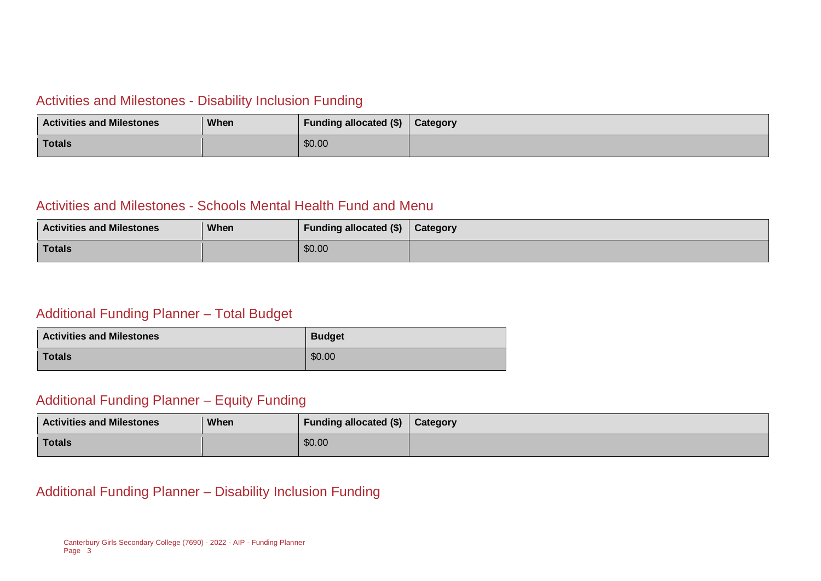### Activities and Milestones - Disability Inclusion Funding

| <b>Activities and Milestones</b> | <b>When</b> | Funding allocated (\$) | Category |
|----------------------------------|-------------|------------------------|----------|
| Totals                           |             | \$0.00                 |          |

### Activities and Milestones - Schools Mental Health Fund and Menu

| <b>Activities and Milestones</b> | When | Funding allocated (\$) | Category |
|----------------------------------|------|------------------------|----------|
| <b>Totals</b>                    |      | \$0.00                 |          |

### Additional Funding Planner – Total Budget

| <b>Activities and Milestones</b> | <b>Budget</b> |
|----------------------------------|---------------|
| <b>Totals</b>                    | \$0.00        |

### Additional Funding Planner – Equity Funding

| <b>Activities and Milestones</b> | <b>When</b> | Funding allocated (\$) | Category |
|----------------------------------|-------------|------------------------|----------|
| Totals                           |             | \$0.00                 |          |

### Additional Funding Planner – Disability Inclusion Funding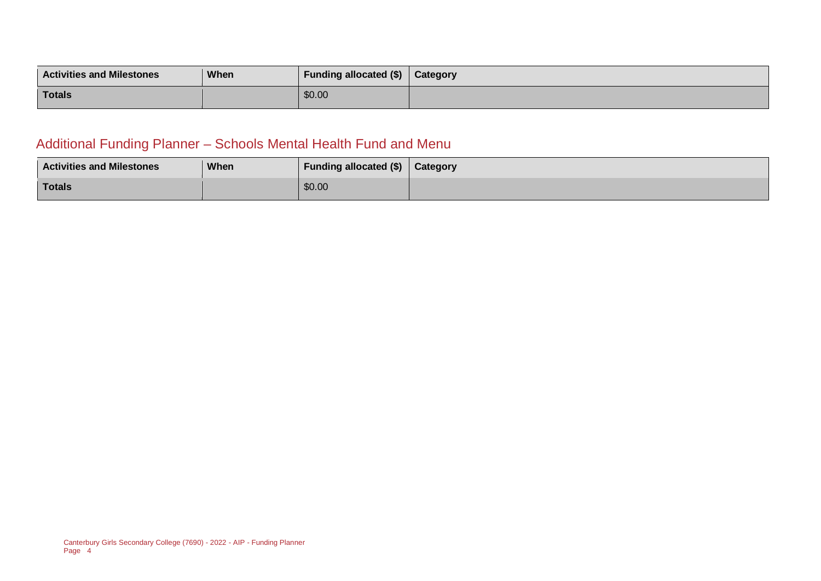| <b>Activities and Milestones</b> | <b>When</b> | Funding allocated $(\$)$   Category |  |
|----------------------------------|-------------|-------------------------------------|--|
| <b>Totals</b>                    |             | \$0.00                              |  |

## Additional Funding Planner – Schools Mental Health Fund and Menu

| <b>Activities and Milestones</b> | When | Funding allocated $(\$)$ | Category |
|----------------------------------|------|--------------------------|----------|
| <b>Totals</b>                    |      | \$0.00                   |          |